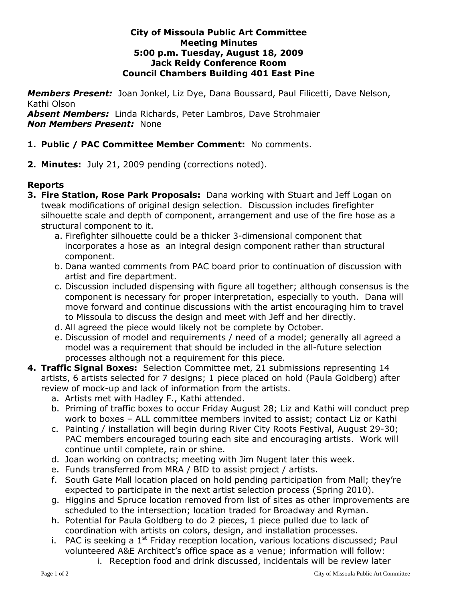#### **City of Missoula Public Art Committee Meeting Minutes 5:00 p.m. Tuesday, August 18, 2009 Jack Reidy Conference Room Council Chambers Building 401 East Pine**

*Members Present:* Joan Jonkel, Liz Dye, Dana Boussard, Paul Filicetti, Dave Nelson, Kathi Olson

*Absent Members:* Linda Richards, Peter Lambros, Dave Strohmaier *Non Members Present:* None

# **1. Public / PAC Committee Member Comment:** No comments.

**2. Minutes:** July 21, 2009 pending (corrections noted).

### **Reports**

- **3. Fire Station, Rose Park Proposals:** Dana working with Stuart and Jeff Logan on tweak modifications of original design selection. Discussion includes firefighter silhouette scale and depth of component, arrangement and use of the fire hose as a structural component to it.
	- a. Firefighter silhouette could be a thicker 3-dimensional component that incorporates a hose as an integral design component rather than structural component.
	- b. Dana wanted comments from PAC board prior to continuation of discussion with artist and fire department.
	- c. Discussion included dispensing with figure all together; although consensus is the component is necessary for proper interpretation, especially to youth. Dana will move forward and continue discussions with the artist encouraging him to travel to Missoula to discuss the design and meet with Jeff and her directly.
	- d. All agreed the piece would likely not be complete by October.
	- e. Discussion of model and requirements / need of a model; generally all agreed a model was a requirement that should be included in the all-future selection processes although not a requirement for this piece.
- **4. Traffic Signal Boxes:** Selection Committee met, 21 submissions representing 14 artists, 6 artists selected for 7 designs; 1 piece placed on hold (Paula Goldberg) after review of mock-up and lack of information from the artists.
	- a. Artists met with Hadley F., Kathi attended.
	- b. Priming of traffic boxes to occur Friday August 28; Liz and Kathi will conduct prep work to boxes – ALL committee members invited to assist; contact Liz or Kathi
	- c. Painting / installation will begin during River City Roots Festival, August 29-30; PAC members encouraged touring each site and encouraging artists. Work will continue until complete, rain or shine.
	- d. Joan working on contracts; meeting with Jim Nugent later this week.
	- e. Funds transferred from MRA / BID to assist project / artists.
	- f. South Gate Mall location placed on hold pending participation from Mall; they're expected to participate in the next artist selection process (Spring 2010).
	- g. Higgins and Spruce location removed from list of sites as other improvements are scheduled to the intersection; location traded for Broadway and Ryman.
	- h. Potential for Paula Goldberg to do 2 pieces, 1 piece pulled due to lack of coordination with artists on colors, design, and installation processes.
	- i. PAC is seeking a  $1<sup>st</sup>$  Friday reception location, various locations discussed; Paul volunteered A&E Architect's office space as a venue; information will follow:
		- i. Reception food and drink discussed, incidentals will be review later